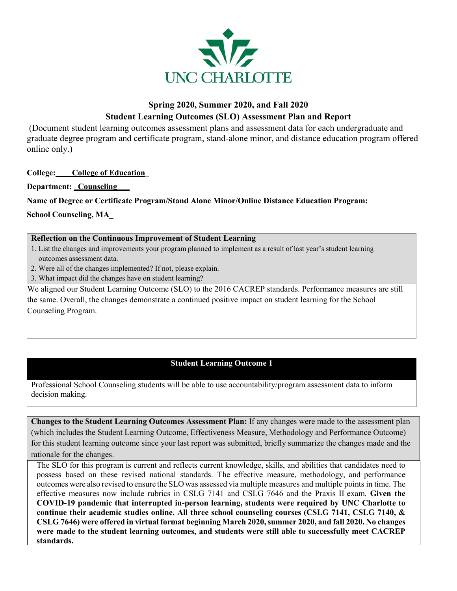

# **Spring 2020, Summer 2020, and Fall 2020 Student Learning Outcomes (SLO) Assessment Plan and Report**

(Document student learning outcomes assessment plans and assessment data for each undergraduate and graduate degree program and certificate program, stand-alone minor, and distance education program offered online only.)

**College: College of Education\_**

**Department: \_Counseling**

**Name of Degree or Certificate Program/Stand Alone Minor/Online Distance Education Program:**

**School Counseling, MA\_** 

#### **Reflection on the Continuous Improvement of Student Learning**

1. List the changes and improvements your program planned to implement as a result of last year's student learning outcomes assessment data.

- 2. Were all of the changes implemented? If not, please explain.
- 3. What impact did the changes have on student learning?

We aligned our Student Learning Outcome (SLO) to the 2016 CACREP standards. Performance measures are still the same. Overall, the changes demonstrate a continued positive impact on student learning for the School Counseling Program.

### **Student Learning Outcome 1**

Professional School Counseling students will be able to use accountability/program assessment data to inform decision making.

**Changes to the Student Learning Outcomes Assessment Plan:** If any changes were made to the assessment plan (which includes the Student Learning Outcome, Effectiveness Measure, Methodology and Performance Outcome) for this student learning outcome since your last report was submitted, briefly summarize the changes made and the rationale for the changes.

The SLO for this program is current and reflects current knowledge, skills, and abilities that candidates need to possess based on these revised national standards. The effective measure, methodology, and performance outcomes were also revised to ensure the SLO was assessed via multiple measures and multiple points in time. The effective measures now include rubrics in CSLG 7141 and CSLG 7646 and the Praxis II exam. **Given the COVID-19 pandemic that interrupted in-person learning, students were required by UNC Charlotte to continue their academic studies online. All three school counseling courses (CSLG 7141, CSLG 7140, & CSLG 7646) were offered in virtual format beginning March 2020, summer 2020, and fall 2020. No changes were made to the student learning outcomes, and students were still able to successfully meet CACREP standards.**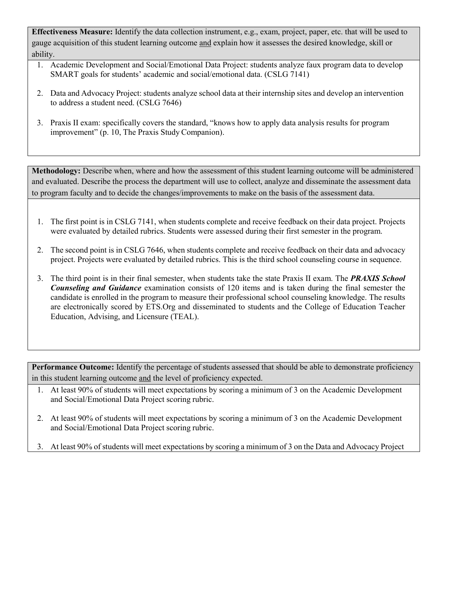**Effectiveness Measure:** Identify the data collection instrument, e.g., exam, project, paper, etc. that will be used to gauge acquisition of this student learning outcome and explain how it assesses the desired knowledge, skill or ability.

- 1. Academic Development and Social/Emotional Data Project: students analyze faux program data to develop SMART goals for students' academic and social/emotional data. (CSLG 7141)
- 2. Data and Advocacy Project: students analyze school data at their internship sites and develop an intervention to address a student need. (CSLG 7646)
- 3. Praxis II exam: specifically covers the standard, "knows how to apply data analysis results for program improvement" (p. 10, The Praxis Study Companion).

**Methodology:** Describe when, where and how the assessment of this student learning outcome will be administered and evaluated. Describe the process the department will use to collect, analyze and disseminate the assessment data to program faculty and to decide the changes/improvements to make on the basis of the assessment data.

- 1. The first point is in CSLG 7141, when students complete and receive feedback on their data project. Projects were evaluated by detailed rubrics. Students were assessed during their first semester in the program.
- 2. The second point is in CSLG 7646, when students complete and receive feedback on their data and advocacy project. Projects were evaluated by detailed rubrics. This is the third school counseling course in sequence.
- 3. The third point is in their final semester, when students take the state Praxis II exam. The *PRAXIS School Counseling and Guidance* examination consists of 120 items and is taken during the final semester the candidate is enrolled in the program to measure their professional school counseling knowledge. The results are electronically scored by ETS.Org and disseminated to students and the College of Education Teacher Education, Advising, and Licensure (TEAL).

in this student learning outcome and the level of proficiency expected. Performance Outcome: Identify the percentage of students assessed that should be able to demonstrate proficiency

- 1. At least 90% of students will meet expectations by scoring a minimum of 3 on the Academic Development and Social/Emotional Data Project scoring rubric.
- 2. At least 90% of students will meet expectations by scoring a minimum of 3 on the Academic Development and Social/Emotional Data Project scoring rubric.
- 3. At least 90% of students will meet expectations by scoring a minimum of 3 on the Data and Advocacy Project